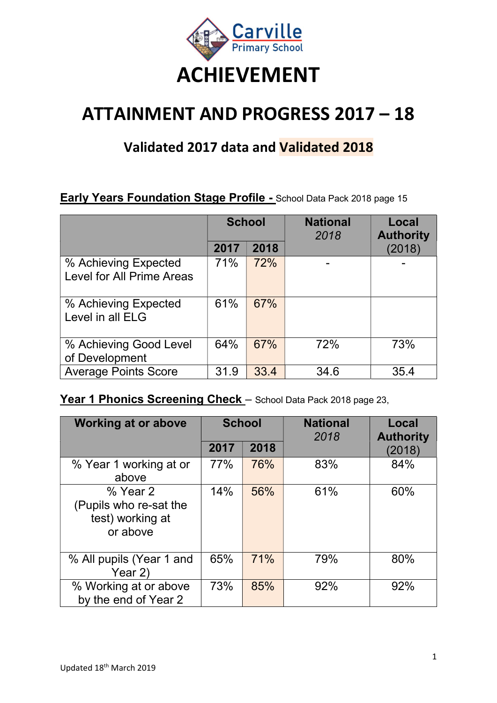

# ATTAINMENT AND PROGRESS 2017 – 18

# Validated 2017 data and Validated 2018

#### **Early Years Foundation Stage Profile - School Data Pack 2018 page 15**

|                                                   |      | <b>School</b> | <b>National</b><br>2018 | Local<br><b>Authority</b> |
|---------------------------------------------------|------|---------------|-------------------------|---------------------------|
|                                                   | 2017 | 2018          |                         | (2018)                    |
| % Achieving Expected<br>Level for All Prime Areas | 71%  | 72%           |                         |                           |
| % Achieving Expected<br>Level in all ELG          | 61%  | 67%           |                         |                           |
| % Achieving Good Level<br>of Development          | 64%  | 67%           | 72%                     | 73%                       |
| <b>Average Points Score</b>                       | 31.9 | 33.4          | 34.6                    | 35.4                      |

### Year 1 Phonics Screening Check - School Data Pack 2018 page 23,

| <b>Working at or above</b>                                         | <b>School</b> |      | <b>National</b><br>2018 | Local<br><b>Authority</b> |
|--------------------------------------------------------------------|---------------|------|-------------------------|---------------------------|
|                                                                    | 2017          | 2018 |                         | (2018)                    |
| % Year 1 working at or<br>above                                    | 77%           | 76%  | 83%                     | 84%                       |
| % Year 2<br>(Pupils who re-sat the<br>test) working at<br>or above | 14%           | 56%  | 61%                     | 60%                       |
| % All pupils (Year 1 and<br>Year 2)                                | 65%           | 71%  | 79%                     | 80%                       |
| % Working at or above<br>by the end of Year 2                      | 73%           | 85%  | 92%                     | 92%                       |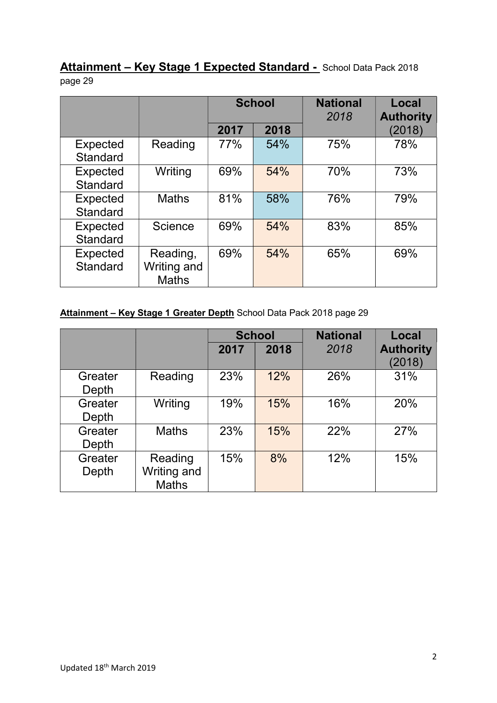Attainment - Key Stage 1 Expected Standard - School Data Pack 2018 page 29

|                             |                                         |      | <b>School</b> | <b>National</b><br>2018 | Local<br><b>Authority</b> |
|-----------------------------|-----------------------------------------|------|---------------|-------------------------|---------------------------|
|                             |                                         | 2017 | 2018          |                         | (2018)                    |
| Expected<br>Standard        | Reading                                 | 77%  | 54%           | 75%                     | 78%                       |
| Expected<br><b>Standard</b> | Writing                                 | 69%  | 54%           | 70%                     | 73%                       |
| <b>Expected</b><br>Standard | <b>Maths</b>                            | 81%  | 58%           | 76%                     | 79%                       |
| Expected<br>Standard        | Science                                 | 69%  | 54%           | 83%                     | 85%                       |
| <b>Expected</b><br>Standard | Reading,<br>Writing and<br><b>Maths</b> | 69%  | 54%           | 65%                     | 69%                       |

#### Attainment - Key Stage 1 Greater Depth School Data Pack 2018 page 29

|                  |                                        |      | <b>School</b> | <b>National</b> | <b>Local</b>               |
|------------------|----------------------------------------|------|---------------|-----------------|----------------------------|
|                  |                                        | 2017 | 2018          | 2018            | <b>Authority</b><br>(2018) |
| Greater<br>Depth | Reading                                | 23%  | 12%           | 26%             | 31%                        |
| Greater<br>Depth | Writing                                | 19%  | 15%           | 16%             | 20%                        |
| Greater<br>Depth | <b>Maths</b>                           | 23%  | 15%           | 22%             | 27%                        |
| Greater<br>Depth | Reading<br>Writing and<br><b>Maths</b> | 15%  | 8%            | 12%             | 15%                        |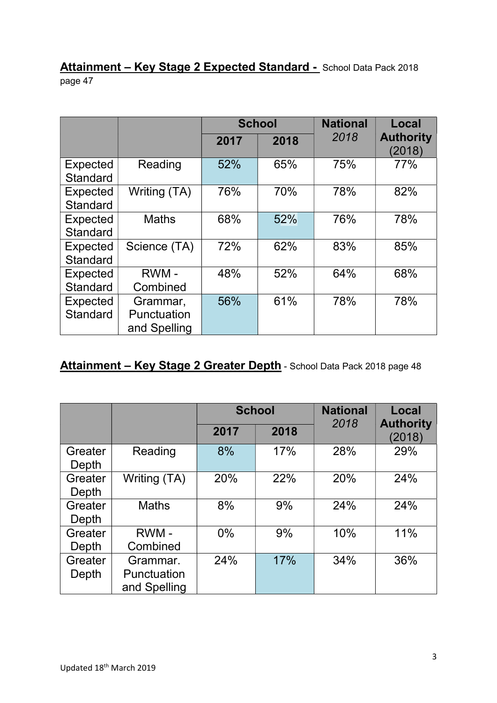#### Attainment - Key Stage 2 Expected Standard - School Data Pack 2018 page 47

|                 |              |      | <b>School</b> | <b>National</b> | Local                      |
|-----------------|--------------|------|---------------|-----------------|----------------------------|
|                 |              | 2017 | 2018          | 2018            | <b>Authority</b><br>(2018) |
| <b>Expected</b> | Reading      | 52%  | 65%           | 75%             | 77%                        |
| <b>Standard</b> |              |      |               |                 |                            |
| Expected        | Writing (TA) | 76%  | 70%           | 78%             | 82%                        |
| <b>Standard</b> |              |      |               |                 |                            |
| <b>Expected</b> | <b>Maths</b> | 68%  | 52%           | 76%             | 78%                        |
| <b>Standard</b> |              |      |               |                 |                            |
| <b>Expected</b> | Science (TA) | 72%  | 62%           | 83%             | 85%                        |
| <b>Standard</b> |              |      |               |                 |                            |
| Expected        | RWM-         | 48%  | 52%           | 64%             | 68%                        |
| <b>Standard</b> | Combined     |      |               |                 |                            |
| <b>Expected</b> | Grammar,     | 56%  | 61%           | 78%             | 78%                        |
| Standard        | Punctuation  |      |               |                 |                            |
|                 | and Spelling |      |               |                 |                            |

## Attainment - Key Stage 2 Greater Depth - School Data Pack 2018 page 48

|                  |                                         |       | <b>School</b> | <b>National</b> | <b>Local</b>               |  |  |
|------------------|-----------------------------------------|-------|---------------|-----------------|----------------------------|--|--|
|                  |                                         | 2017  | 2018          | 2018            | <b>Authority</b><br>(2018) |  |  |
| Greater<br>Depth | Reading                                 | 8%    | 17%           | 28%             | 29%                        |  |  |
| Greater<br>Depth | Writing (TA)                            | 20%   | 22%           | 20%             | 24%                        |  |  |
| Greater<br>Depth | <b>Maths</b>                            | 8%    | 9%            | 24%             | 24%                        |  |  |
| Greater<br>Depth | RWM-<br>Combined                        | $0\%$ | 9%            | 10%             | 11%                        |  |  |
| Greater<br>Depth | Grammar.<br>Punctuation<br>and Spelling | 24%   | 17%           | 34%             | 36%                        |  |  |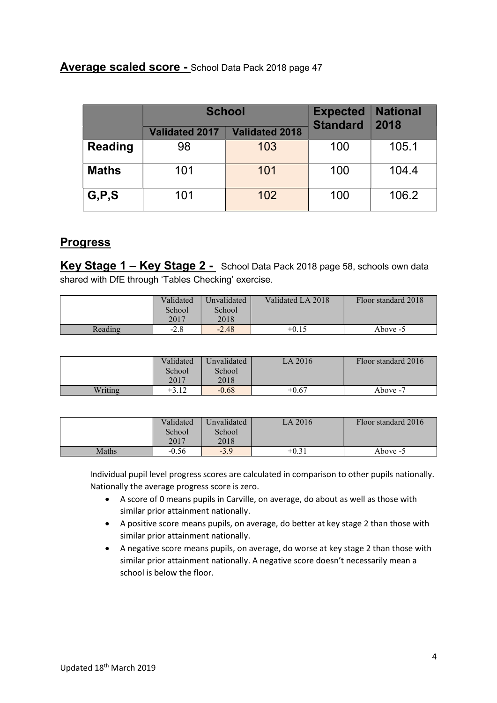#### Average scaled score - School Data Pack 2018 page 47

|                | <b>School</b>         |                       | <b>Expected</b><br><b>Standard</b> | <b>National</b><br>2018 |
|----------------|-----------------------|-----------------------|------------------------------------|-------------------------|
|                | <b>Validated 2017</b> | <b>Validated 2018</b> |                                    |                         |
| <b>Reading</b> | 98                    | 103                   | 100                                | 105.1                   |
| <b>Maths</b>   | 101                   | 101                   | 100                                | 104.4                   |
| G, P, S        | 101                   | 102                   | 100                                | 106.2                   |

#### **Progress**

Key Stage 1 – Key Stage 2 - School Data Pack 2018 page 58, schools own data shared with DfE through 'Tables Checking' exercise.

|         | Validated<br>School | Unvalidated<br>School | Validated LA 2018 | Floor standard 2018 |
|---------|---------------------|-----------------------|-------------------|---------------------|
|         | 2017                | 2018                  |                   |                     |
| Reading | $-2.8$              | $-2.48$               | $+0.15$           | Above -5            |

|         | Validated | Unvalidated | LA 2016 | Floor standard 2016 |
|---------|-----------|-------------|---------|---------------------|
|         | School    | School      |         |                     |
|         | 2017      | 2018        |         |                     |
| Writing | $+3.12$   | $-0.68$     | $+0.67$ | Above -7            |

|       | Validated | Unvalidated | LA 2016 | Floor standard 2016 |
|-------|-----------|-------------|---------|---------------------|
|       | School    | School      |         |                     |
|       | 2017      | 2018        |         |                     |
| Maths | $-0.56$   | $-3.9$      | $+0.31$ | Above -5            |

Individual pupil level progress scores are calculated in comparison to other pupils nationally. Nationally the average progress score is zero.

- A score of 0 means pupils in Carville, on average, do about as well as those with similar prior attainment nationally.
- A positive score means pupils, on average, do better at key stage 2 than those with similar prior attainment nationally.
- A negative score means pupils, on average, do worse at key stage 2 than those with similar prior attainment nationally. A negative score doesn't necessarily mean a school is below the floor.